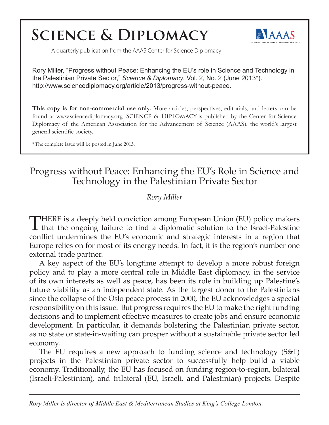# **SCIENCE & DIPLOMACY**



A quarterly publication from the AAAS Center for Science Diplomacy

Rory Miller, "Progress without Peace: Enhancing the EU's role in Science and Technology in the Palestinian Private Sector," *Science & Diplomacy*, Vol. 2, No. 2 (June 2013\*). http://www.sciencediplomacy.org/article/2013/progress-without-peace.

**This copy is for non-commercial use only.** More articles, perspectives, editorials, and letters can be found at www.sciencediplomacy.org. SCIENCE & DIPLOMACY is published by the Center for Science Diplomacy of the American Association for the Advancement of Science (AAAS), the world's largest general scientific society.

\*The complete issue will be posted in June 2013.

# Progress without Peace: Enhancing the EU's Role in Science and Technology in the Palestinian Private Sector

# *Rory Miller*

THERE is a deeply held conviction among European Union (EU) policy makers **L** that the ongoing failure to find a diplomatic solution to the Israel-Palestine conflict undermines the EU's economic and strategic interests in a region that Europe relies on for most of its energy needs. In fact, it is the region's number one external trade partner.

A key aspect of the EU's longtime attempt to develop a more robust foreign policy and to play a more central role in Middle East diplomacy, in the service of its own interests as well as peace, has been its role in building up Palestine's future viability as an independent state. As the largest donor to the Palestinians since the collapse of the Oslo peace process in 2000, the EU acknowledges a special responsibility on this issue. But progress requires the EU to make the right funding decisions and to implement effective measures to create jobs and ensure economic development. In particular, it demands bolstering the Palestinian private sector, as no state or state-in-waiting can prosper without a sustainable private sector led economy.

The EU requires a new approach to funding science and technology (S&T) projects in the Palestinian private sector to successfully help build a viable economy. Traditionally, the EU has focused on funding region-to-region, bilateral (Israeli-Palestinian), and trilateral (EU, Israeli, and Palestinian) projects. Despite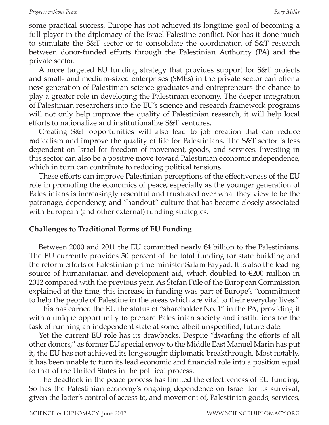### *Progress without Peace Rory Miller*

some practical success, Europe has not achieved its longtime goal of becoming a full player in the diplomacy of the Israel-Palestine conflict. Nor has it done much to stimulate the S&T sector or to consolidate the coordination of S&T research between donor-funded efforts through the Palestinian Authority (PA) and the private sector.

A more targeted EU funding strategy that provides support for S&T projects and small- and medium-sized enterprises (SMEs) in the private sector can offer a new generation of Palestinian science graduates and entrepreneurs the chance to play a greater role in developing the Palestinian economy. The deeper integration of Palestinian researchers into the EU's science and research framework programs will not only help improve the quality of Palestinian research, it will help local efforts to nationalize and institutionalize S&T ventures.

Creating S&T opportunities will also lead to job creation that can reduce radicalism and improve the quality of life for Palestinians. The S&T sector is less dependent on Israel for freedom of movement, goods, and services. Investing in this sector can also be a positive move toward Palestinian economic independence, which in turn can contribute to reducing political tensions.

These efforts can improve Palestinian perceptions of the effectiveness of the EU role in promoting the economics of peace, especially as the younger generation of Palestinians is increasingly resentful and frustrated over what they view to be the patronage, dependency, and "handout" culture that has become closely associated with European (and other external) funding strategies.

## **Challenges to Traditional Forms of EU Funding**

Between 2000 and 2011 the EU committed nearly  $\epsilon$ 4 billion to the Palestinians. The EU currently provides 50 percent of the total funding for state building and the reform efforts of Palestinian prime minister Salam Fayyad. It is also the leading source of humanitarian and development aid, which doubled to  $\epsilon$ 200 million in 2012 compared with the previous year. As Štefan Füle of the European Commission explained at the time, this increase in funding was part of Europe's "commitment to help the people of Palestine in the areas which are vital to their everyday lives."

This has earned the EU the status of "shareholder No. 1" in the PA, providing it with a unique opportunity to prepare Palestinian society and institutions for the task of running an independent state at some, albeit unspecified, future date.

Yet the current EU role has its drawbacks. Despite "dwarfing the efforts of all other donors," as former EU special envoy to the Middle East Manuel Marin has put it, the EU has not achieved its long-sought diplomatic breakthrough. Most notably, it has been unable to turn its lead economic and financial role into a position equal to that of the United States in the political process.

The deadlock in the peace process has limited the effectiveness of EU funding. So has the Palestinian economy's ongoing dependence on Israel for its survival, given the latter's control of access to, and movement of, Palestinian goods, services,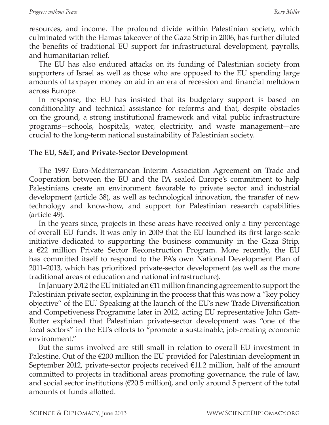resources, and income. The profound divide within Palestinian society, which culminated with the Hamas takeover of the Gaza Strip in 2006, has further diluted the benefits of traditional EU support for infrastructural development, payrolls, and humanitarian relief*.*

The EU has also endured attacks on its funding of Palestinian society from supporters of Israel as well as those who are opposed to the EU spending large amounts of taxpayer money on aid in an era of recession and financial meltdown across Europe.

In response, the EU has insisted that its budgetary support is based on conditionality and technical assistance for reforms and that, despite obstacles on the ground, a strong institutional framework and vital public infrastructure programs—schools, hospitals, water, electricity, and waste management—are crucial to the long-term national sustainability of Palestinian society.

# **The EU, S&T, and Private-Sector Development**

The 1997 Euro-Mediterranean Interim Association Agreement on Trade and Cooperation between the EU and the PA sealed Europe's commitment to help Palestinians create an environment favorable to private sector and industrial development (article 38), as well as technological innovation, the transfer of new technology and know-how, and support for Palestinian research capabilities (article 49).

In the years since, projects in these areas have received only a tiny percentage of overall EU funds. It was only in 2009 that the EU launched its first large-scale initiative dedicated to supporting the business community in the Gaza Strip, a €22 million Private Sector Reconstruction Program. More recently, the EU has committed itself to respond to the PA's own National Development Plan of 2011–2013, which has prioritized private-sector development (as well as the more traditional areas of education and national infrastructure).

In January 2012 the EU initiated an €11 million financing agreement to support the Palestinian private sector, explaining in the process that this was now a "key policy objective" of the EU.<sup>1</sup> Speaking at the launch of the EU's new Trade Diversification and Competiveness Programme later in 2012, acting EU representative John Gatt-Rutter explained that Palestinian private-sector development was "one of the focal sectors" in the EU's efforts to "promote a sustainable, job-creating economic environment."

But the sums involved are still small in relation to overall EU investment in Palestine. Out of the  $\epsilon$ 200 million the EU provided for Palestinian development in September 2012, private-sector projects received  $\epsilon$ 11.2 million, half of the amount committed to projects in traditional areas promoting governance, the rule of law, and social sector institutions ( $\epsilon$ 20.5 million), and only around 5 percent of the total amounts of funds allotted.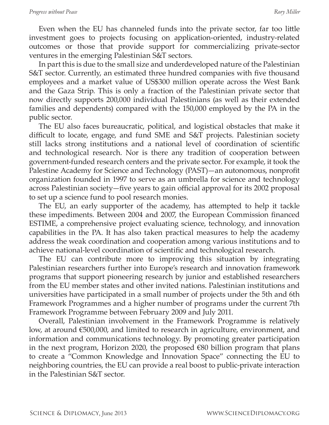Even when the EU has channeled funds into the private sector, far too little investment goes to projects focusing on application-oriented, industry-related outcomes or those that provide support for commercializing private-sector ventures in the emerging Palestinian S&T sectors.

In part this is due to the small size and underdeveloped nature of the Palestinian S&T sector. Currently, an estimated three hundred companies with five thousand employees and a market value of US\$300 million operate across the West Bank and the Gaza Strip. This is only a fraction of the Palestinian private sector that now directly supports 200,000 individual Palestinians (as well as their extended families and dependents) compared with the 150,000 employed by the PA in the public sector.

The EU also faces bureaucratic, political, and logistical obstacles that make it difficult to locate, engage, and fund SME and S&T projects. Palestinian society still lacks strong institutions and a national level of coordination of scientific and technological research. Nor is there any tradition of cooperation between government-funded research centers and the private sector. For example, it took the Palestine Academy for Science and Technology (PAST)—an autonomous, nonprofit organization founded in 1997 to serve as an umbrella for science and technology across Palestinian society—five years to gain official approval for its 2002 proposal to set up a science fund to pool research monies.

The EU, an early supporter of the academy, has attempted to help it tackle these impediments. Between 2004 and 2007, the European Commission financed ESTIME, a comprehensive project evaluating science, technology, and innovation capabilities in the PA. It has also taken practical measures to help the academy address the weak coordination and cooperation among various institutions and to achieve national-level coordination of scientific and technological research.

The EU can contribute more to improving this situation by integrating Palestinian researchers further into Europe's research and innovation framework programs that support pioneering research by junior and established researchers from the EU member states and other invited nations. Palestinian institutions and universities have participated in a small number of projects under the 5th and 6th Framework Programmes and a higher number of programs under the current 7th Framework Programme between February 2009 and July 2011.

Overall, Palestinian involvement in the Framework Programme is relatively low, at around €500,000, and limited to research in agriculture, environment, and information and communications technology. By promoting greater participation in the next program, Horizon 2020, the proposed €80 billion program that plans to create a "Common Knowledge and Innovation Space" connecting the EU to neighboring countries, the EU can provide a real boost to public-private interaction in the Palestinian S&T sector.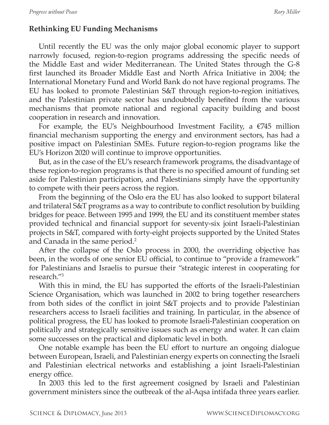# **Rethinking EU Funding Mechanisms**

Until recently the EU was the only major global economic player to support narrowly focused, region-to-region programs addressing the specific needs of the Middle East and wider Mediterranean. The United States through the G-8 first launched its Broader Middle East and North Africa Initiative in 2004; the International Monetary Fund and World Bank do not have regional programs. The EU has looked to promote Palestinian S&T through region-to-region initiatives, and the Palestinian private sector has undoubtedly benefited from the various mechanisms that promote national and regional capacity building and boost cooperation in research and innovation.

For example, the EU's Neighbourhood Investment Facility, a  $\epsilon$ 745 million financial mechanism supporting the energy and environment sectors, has had a positive impact on Palestinian SMEs. Future region-to-region programs like the EU's Horizon 2020 will continue to improve opportunities.

But, as in the case of the EU's research framework programs, the disadvantage of these region-to-region programs is that there is no specified amount of funding set aside for Palestinian participation, and Palestinians simply have the opportunity to compete with their peers across the region.

From the beginning of the Oslo era the EU has also looked to support bilateral and trilateral S&T programs as a way to contribute to conflict resolution by building bridges for peace. Between 1995 and 1999, the EU and its constituent member states provided technical and financial support for seventy-six joint Israeli-Palestinian projects in S&T, compared with forty-eight projects supported by the United States and Canada in the same period.<sup>2</sup>

After the collapse of the Oslo process in 2000, the overriding objective has been, in the words of one senior EU official, to continue to "provide a framework" for Palestinians and Israelis to pursue their "strategic interest in cooperating for research."<sup>3</sup>

With this in mind, the EU has supported the efforts of the Israeli-Palestinian Science Organisation, which was launched in 2002 to bring together researchers from both sides of the conflict in joint S&T projects and to provide Palestinian researchers access to Israeli facilities and training. In particular, in the absence of political progress, the EU has looked to promote Israeli-Palestinian cooperation on politically and strategically sensitive issues such as energy and water. It can claim some successes on the practical and diplomatic level in both.

One notable example has been the EU effort to nurture an ongoing dialogue between European, Israeli, and Palestinian energy experts on connecting the Israeli and Palestinian electrical networks and establishing a joint Israeli-Palestinian energy office.

In 2003 this led to the first agreement cosigned by Israeli and Palestinian government ministers since the outbreak of the al-Aqsa intifada three years earlier.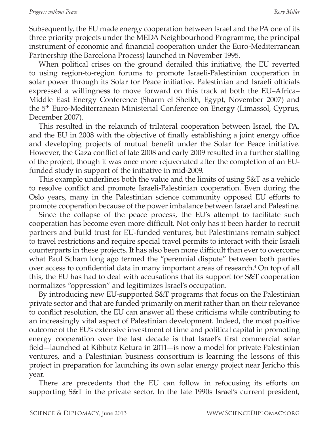Subsequently, the EU made energy cooperation between Israel and the PA one of its three priority projects under the MEDA Neighbourhood Programme, the principal instrument of economic and financial cooperation under the Euro-Mediterranean Partnership (the Barcelona Process) launched in November 1995.

When political crises on the ground derailed this initiative, the EU reverted to using region-to-region forums to promote Israeli-Palestinian cooperation in solar power through its Solar for Peace initiative. Palestinian and Israeli officials expressed a willingness to move forward on this track at both the EU–Africa– Middle East Energy Conference (Sharm el Sheikh, Egypt, November 2007) and the 5th Euro-Mediterranean Ministerial Conference on Energy (Limassol, Cyprus, December 2007).

This resulted in the relaunch of trilateral cooperation between Israel, the PA, and the EU in 2008 with the objective of finally establishing a joint energy office and developing projects of mutual benefit under the Solar for Peace initiative. However, the Gaza conflict of late 2008 and early 2009 resulted in a further stalling of the project, though it was once more rejuvenated after the completion of an EUfunded study in support of the initiative in mid-2009.

This example underlines both the value and the limits of using S&T as a vehicle to resolve conflict and promote Israeli-Palestinian cooperation. Even during the Oslo years, many in the Palestinian science community opposed EU efforts to promote cooperation because of the power imbalance between Israel and Palestine.

Since the collapse of the peace process, the EU's attempt to facilitate such cooperation has become even more difficult. Not only has it been harder to recruit partners and build trust for EU-funded ventures, but Palestinians remain subject to travel restrictions and require special travel permits to interact with their Israeli counterparts in these projects. It has also been more difficult than ever to overcome what Paul Scham long ago termed the "perennial dispute" between both parties over access to confidential data in many important areas of research.<sup>4</sup> On top of all this, the EU has had to deal with accusations that its support for S&T cooperation normalizes "oppression" and legitimizes Israel's occupation.

By introducing new EU-supported S&T programs that focus on the Palestinian private sector and that are funded primarily on merit rather than on their relevance to conflict resolution, the EU can answer all these criticisms while contributing to an increasingly vital aspect of Palestinian development. Indeed, the most positive outcome of the EU's extensive investment of time and political capital in promoting energy cooperation over the last decade is that Israel's first commercial solar field—launched at Kibbutz Ketura in 2011—is now a model for private Palestinian ventures, and a Palestinian business consortium is learning the lessons of this project in preparation for launching its own solar energy project near Jericho this year.

There are precedents that the EU can follow in refocusing its efforts on supporting S&T in the private sector. In the late 1990s Israel's current president,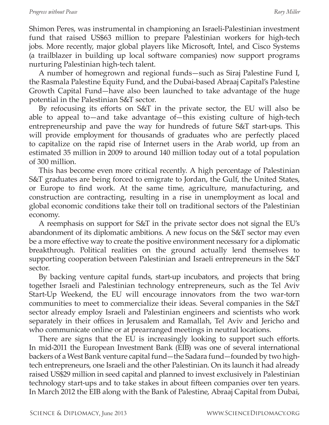Shimon Peres, was instrumental in championing an Israeli-Palestinian investment fund that raised US\$63 million to prepare Palestinian workers for high-tech jobs. More recently, major global players like Microsoft, Intel, and Cisco Systems (a trailblazer in building up local software companies) now support programs nurturing Palestinian high-tech talent.

A number of homegrown and regional funds—such as Siraj Palestine Fund I, the Rasmala Palestine Equity Fund, and the Dubai-based Abraaj Capital's Palestine Growth Capital Fund—have also been launched to take advantage of the huge potential in the Palestinian S&T sector.

By refocusing its efforts on S&T in the private sector, the EU will also be able to appeal to—and take advantage of—this existing culture of high-tech entrepreneurship and pave the way for hundreds of future S&T start-ups. This will provide employment for thousands of graduates who are perfectly placed to capitalize on the rapid rise of Internet users in the Arab world, up from an estimated 35 million in 2009 to around 140 million today out of a total population of 300 million.

This has become even more critical recently. A high percentage of Palestinian S&T graduates are being forced to emigrate to Jordan, the Gulf, the United States, or Europe to find work. At the same time, agriculture, manufacturing, and construction are contracting, resulting in a rise in unemployment as local and global economic conditions take their toll on traditional sectors of the Palestinian economy.

A reemphasis on support for S&T in the private sector does not signal the EU's abandonment of its diplomatic ambitions. A new focus on the S&T sector may even be a more effective way to create the positive environment necessary for a diplomatic breakthrough. Political realities on the ground actually lend themselves to supporting cooperation between Palestinian and Israeli entrepreneurs in the S&T sector.

By backing venture capital funds, start-up incubators, and projects that bring together Israeli and Palestinian technology entrepreneurs, such as the Tel Aviv Start-Up Weekend, the EU will encourage innovators from the two war-torn communities to meet to commercialize their ideas. Several companies in the S&T sector already employ Israeli and Palestinian engineers and scientists who work separately in their offices in Jerusalem and Ramallah, Tel Aviv and Jericho and who communicate online or at prearranged meetings in neutral locations.

There are signs that the EU is increasingly looking to support such efforts. In mid-2011 the European Investment Bank (EIB) was one of several international backers of a West Bank venture capital fund—the Sadara fund—founded by two hightech entrepreneurs, one Israeli and the other Palestinian. On its launch it had already raised US\$29 million in seed capital and planned to invest exclusively in Palestinian technology start-ups and to take stakes in about fifteen companies over ten years. In March 2012 the EIB along with the Bank of Palestine, Abraaj Capital from Dubai,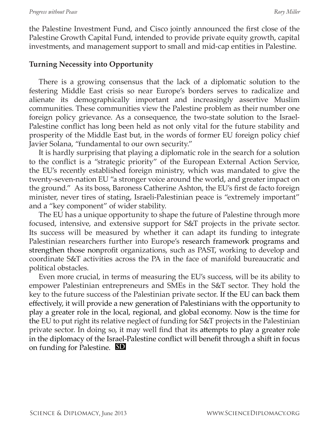the Palestine Investment Fund, and Cisco jointly announced the first close of the Palestine Growth Capital Fund, intended to provide private equity growth, capital investments, and management support to small and mid-cap entities in Palestine.

# **Turning Necessity into Opportunity**

There is a growing consensus that the lack of a diplomatic solution to the festering Middle East crisis so near Europe's borders serves to radicalize and alienate its demographically important and increasingly assertive Muslim communities. These communities view the Palestine problem as their number one foreign policy grievance. As a consequence, the two-state solution to the Israel-Palestine conflict has long been held as not only vital for the future stability and prosperity of the Middle East but, in the words of former EU foreign policy chief Javier Solana, "fundamental to our own security."

It is hardly surprising that playing a diplomatic role in the search for a solution to the conflict is a "strategic priority" of the European External Action Service, the EU's recently established foreign ministry, which was mandated to give the twenty-seven-nation EU "a stronger voice around the world, and greater impact on the ground." As its boss, Baroness Catherine Ashton, the EU's first de facto foreign minister, never tires of stating, Israeli-Palestinian peace is "extremely important" and a "key component" of wider stability.

The EU has a unique opportunity to shape the future of Palestine through more focused, intensive, and extensive support for S&T projects in the private sector. Its success will be measured by whether it can adapt its funding to integrate Palestinian researchers further into Europe's research framework programs and strengthen those nonprofit organizations, such as PAST, working to develop and coordinate S&T activities across the PA in the face of manifold bureaucratic and political obstacles.

Even more crucial, in terms of measuring the EU's success, will be its ability to empower Palestinian entrepreneurs and SMEs in the S&T sector. They hold the key to the future success of the Palestinian private sector. If the EU can back them effectively, it will provide a new generation of Palestinians with the opportunity to play a greater role in the local, regional, and global economy. Now is the time for the EU to put right its relative neglect of funding for S&T projects in the Palestinian private sector. In doing so, it may well find that its attempts to play a greater role in the diplomacy of the Israel-Palestine conflict will benefit through a shift in focus on funding for Palestine. **SD**